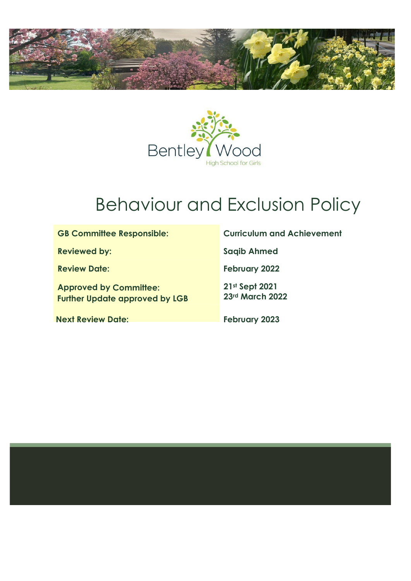



# Behaviour and Exclusion Policy

| <b>GB Committee Responsible:</b>                                       | <b>Curriculum and Achievement</b> |
|------------------------------------------------------------------------|-----------------------------------|
| <b>Reviewed by:</b>                                                    | <b>Saqib Ahmed</b>                |
| <b>Review Date:</b>                                                    | <b>February 2022</b>              |
| <b>Approved by Committee:</b><br><b>Further Update approved by LGB</b> | 21st Sept 2021<br>23rd March 2022 |
| <b>Next Review Date:</b>                                               | <b>February 2023</b>              |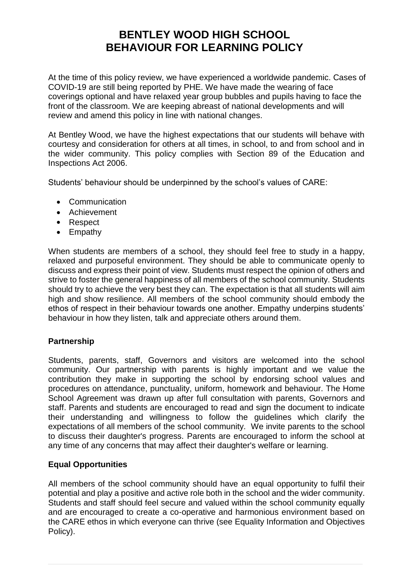# **BENTLEY WOOD HIGH SCHOOL BEHAVIOUR FOR LEARNING POLICY**

At the time of this policy review, we have experienced a worldwide pandemic. Cases of COVID-19 are still being reported by PHE. We have made the wearing of face coverings optional and have relaxed year group bubbles and pupils having to face the front of the classroom. We are keeping abreast of national developments and will review and amend this policy in line with national changes.

At Bentley Wood, we have the highest expectations that our students will behave with courtesy and consideration for others at all times, in school, to and from school and in the wider community. This policy complies with Section 89 of the Education and Inspections Act 2006.

Students' behaviour should be underpinned by the school's values of CARE:

- Communication
- Achievement
- Respect
- Empathy

When students are members of a school, they should feel free to study in a happy, relaxed and purposeful environment. They should be able to communicate openly to discuss and express their point of view. Students must respect the opinion of others and strive to foster the general happiness of all members of the school community. Students should try to achieve the very best they can. The expectation is that all students will aim high and show resilience. All members of the school community should embody the ethos of respect in their behaviour towards one another. Empathy underpins students' behaviour in how they listen, talk and appreciate others around them.

# **Partnership**

Students, parents, staff, Governors and visitors are welcomed into the school community. Our partnership with parents is highly important and we value the contribution they make in supporting the school by endorsing school values and procedures on attendance, punctuality, uniform, homework and behaviour. The Home School Agreement was drawn up after full consultation with parents, Governors and staff. Parents and students are encouraged to read and sign the document to indicate their understanding and willingness to follow the guidelines which clarify the expectations of all members of the school community. We invite parents to the school to discuss their daughter's progress. Parents are encouraged to inform the school at any time of any concerns that may affect their daughter's welfare or learning.

#### **Equal Opportunities**

All members of the school community should have an equal opportunity to fulfil their potential and play a positive and active role both in the school and the wider community. Students and staff should feel secure and valued within the school community equally and are encouraged to create a co-operative and harmonious environment based on the CARE ethos in which everyone can thrive (see Equality Information and Objectives Policy).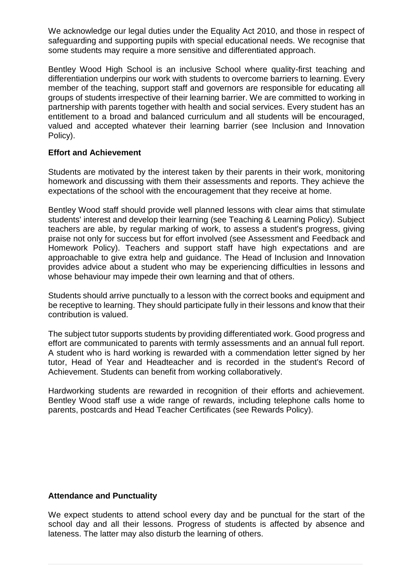We acknowledge our legal duties under the Equality Act 2010, and those in respect of safeguarding and supporting pupils with special educational needs. We recognise that some students may require a more sensitive and differentiated approach.

Bentley Wood High School is an inclusive School where quality-first teaching and differentiation underpins our work with students to overcome barriers to learning. Every member of the teaching, support staff and governors are responsible for educating all groups of students irrespective of their learning barrier. We are committed to working in partnership with parents together with health and social services. Every student has an entitlement to a broad and balanced curriculum and all students will be encouraged, valued and accepted whatever their learning barrier (see Inclusion and Innovation Policy).

#### **Effort and Achievement**

Students are motivated by the interest taken by their parents in their work, monitoring homework and discussing with them their assessments and reports. They achieve the expectations of the school with the encouragement that they receive at home.

Bentley Wood staff should provide well planned lessons with clear aims that stimulate students' interest and develop their learning (see Teaching & Learning Policy). Subject teachers are able, by regular marking of work, to assess a student's progress, giving praise not only for success but for effort involved (see Assessment and Feedback and Homework Policy). Teachers and support staff have high expectations and are approachable to give extra help and guidance. The Head of Inclusion and Innovation provides advice about a student who may be experiencing difficulties in lessons and whose behaviour may impede their own learning and that of others.

Students should arrive punctually to a lesson with the correct books and equipment and be receptive to learning. They should participate fully in their lessons and know that their contribution is valued.

The subject tutor supports students by providing differentiated work. Good progress and effort are communicated to parents with termly assessments and an annual full report. A student who is hard working is rewarded with a commendation letter signed by her tutor, Head of Year and Headteacher and is recorded in the student's Record of Achievement. Students can benefit from working collaboratively.

Hardworking students are rewarded in recognition of their efforts and achievement. Bentley Wood staff use a wide range of rewards, including telephone calls home to parents, postcards and Head Teacher Certificates (see Rewards Policy).

#### **Attendance and Punctuality**

We expect students to attend school every day and be punctual for the start of the school day and all their lessons. Progress of students is affected by absence and lateness. The latter may also disturb the learning of others.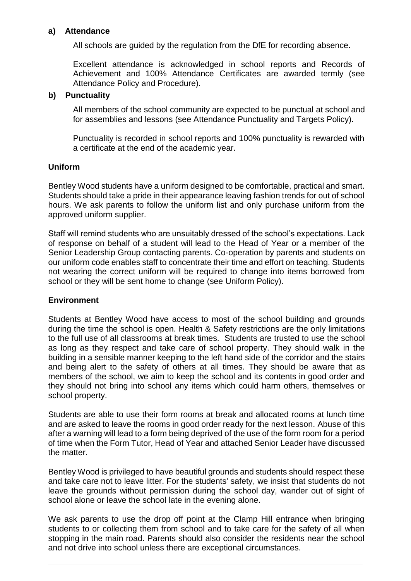#### **a) Attendance**

All schools are guided by the regulation from the DfE for recording absence.

Excellent attendance is acknowledged in school reports and Records of Achievement and 100% Attendance Certificates are awarded termly (see Attendance Policy and Procedure).

#### **b) Punctuality**

All members of the school community are expected to be punctual at school and for assemblies and lessons (see Attendance Punctuality and Targets Policy).

Punctuality is recorded in school reports and 100% punctuality is rewarded with a certificate at the end of the academic year.

#### **Uniform**

Bentley Wood students have a uniform designed to be comfortable, practical and smart. Students should take a pride in their appearance leaving fashion trends for out of school hours. We ask parents to follow the uniform list and only purchase uniform from the approved uniform supplier.

Staff will remind students who are unsuitably dressed of the school's expectations. Lack of response on behalf of a student will lead to the Head of Year or a member of the Senior Leadership Group contacting parents. Co-operation by parents and students on our uniform code enables staff to concentrate their time and effort on teaching. Students not wearing the correct uniform will be required to change into items borrowed from school or they will be sent home to change (see Uniform Policy).

#### **Environment**

Students at Bentley Wood have access to most of the school building and grounds during the time the school is open. Health & Safety restrictions are the only limitations to the full use of all classrooms at break times. Students are trusted to use the school as long as they respect and take care of school property. They should walk in the building in a sensible manner keeping to the left hand side of the corridor and the stairs and being alert to the safety of others at all times. They should be aware that as members of the school, we aim to keep the school and its contents in good order and they should not bring into school any items which could harm others, themselves or school property.

Students are able to use their form rooms at break and allocated rooms at lunch time and are asked to leave the rooms in good order ready for the next lesson. Abuse of this after a warning will lead to a form being deprived of the use of the form room for a period of time when the Form Tutor, Head of Year and attached Senior Leader have discussed the matter.

Bentley Wood is privileged to have beautiful grounds and students should respect these and take care not to leave litter. For the students' safety, we insist that students do not leave the grounds without permission during the school day, wander out of sight of school alone or leave the school late in the evening alone.

We ask parents to use the drop off point at the Clamp Hill entrance when bringing students to or collecting them from school and to take care for the safety of all when stopping in the main road. Parents should also consider the residents near the school and not drive into school unless there are exceptional circumstances.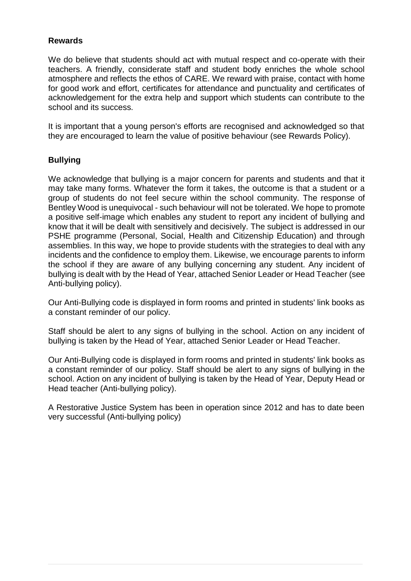#### **Rewards**

We do believe that students should act with mutual respect and co-operate with their teachers. A friendly, considerate staff and student body enriches the whole school atmosphere and reflects the ethos of CARE. We reward with praise, contact with home for good work and effort, certificates for attendance and punctuality and certificates of acknowledgement for the extra help and support which students can contribute to the school and its success.

It is important that a young person's efforts are recognised and acknowledged so that they are encouraged to learn the value of positive behaviour (see Rewards Policy).

#### **Bullying**

We acknowledge that bullying is a major concern for parents and students and that it may take many forms. Whatever the form it takes, the outcome is that a student or a group of students do not feel secure within the school community. The response of Bentley Wood is unequivocal - such behaviour will not be tolerated. We hope to promote a positive self-image which enables any student to report any incident of bullying and know that it will be dealt with sensitively and decisively. The subject is addressed in our PSHE programme (Personal, Social, Health and Citizenship Education) and through assemblies. In this way, we hope to provide students with the strategies to deal with any incidents and the confidence to employ them. Likewise, we encourage parents to inform the school if they are aware of any bullying concerning any student. Any incident of bullying is dealt with by the Head of Year, attached Senior Leader or Head Teacher (see Anti-bullying policy).

Our Anti-Bullying code is displayed in form rooms and printed in students' link books as a constant reminder of our policy.

Staff should be alert to any signs of bullying in the school. Action on any incident of bullying is taken by the Head of Year, attached Senior Leader or Head Teacher.

Our Anti-Bullying code is displayed in form rooms and printed in students' link books as a constant reminder of our policy. Staff should be alert to any signs of bullying in the school. Action on any incident of bullying is taken by the Head of Year, Deputy Head or Head teacher (Anti-bullying policy).

A Restorative Justice System has been in operation since 2012 and has to date been very successful (Anti-bullying policy)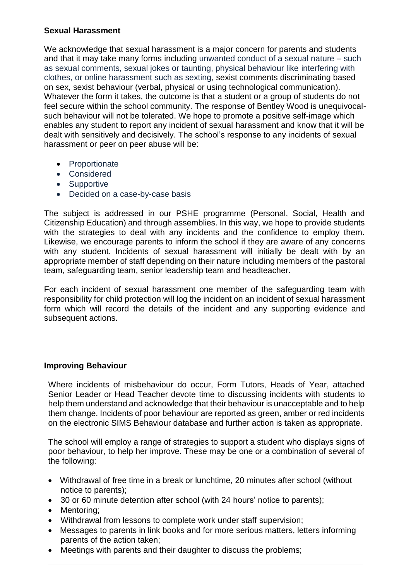## **Sexual Harassment**

We acknowledge that sexual harassment is a major concern for parents and students and that it may take many forms including unwanted conduct of a sexual nature – such as sexual comments, sexual jokes or taunting, physical behaviour like interfering with clothes, or online harassment such as sexting, sexist comments discriminating based on sex, sexist behaviour (verbal, physical or using technological communication). Whatever the form it takes, the outcome is that a student or a group of students do not feel secure within the school community. The response of Bentley Wood is unequivocalsuch behaviour will not be tolerated. We hope to promote a positive self-image which enables any student to report any incident of sexual harassment and know that it will be dealt with sensitively and decisively. The school's response to any incidents of sexual harassment or peer on peer abuse will be:

- Proportionate
- Considered
- Supportive
- Decided on a case-by-case basis

The subject is addressed in our PSHE programme (Personal, Social, Health and Citizenship Education) and through assemblies. In this way, we hope to provide students with the strategies to deal with any incidents and the confidence to employ them. Likewise, we encourage parents to inform the school if they are aware of any concerns with any student. Incidents of sexual harassment will initially be dealt with by an appropriate member of staff depending on their nature including members of the pastoral team, safeguarding team, senior leadership team and headteacher.

For each incident of sexual harassment one member of the safeguarding team with responsibility for child protection will log the incident on an incident of sexual harassment form which will record the details of the incident and any supporting evidence and subsequent actions.

# **Improving Behaviour**

Where incidents of misbehaviour do occur, Form Tutors, Heads of Year, attached Senior Leader or Head Teacher devote time to discussing incidents with students to help them understand and acknowledge that their behaviour is unacceptable and to help them change. Incidents of poor behaviour are reported as green, amber or red incidents on the electronic SIMS Behaviour database and further action is taken as appropriate.

The school will employ a range of strategies to support a student who displays signs of poor behaviour, to help her improve. These may be one or a combination of several of the following:

- Withdrawal of free time in a break or lunchtime, 20 minutes after school (without notice to parents);
- 30 or 60 minute detention after school (with 24 hours' notice to parents);
- Mentoring;
- Withdrawal from lessons to complete work under staff supervision;
- Messages to parents in link books and for more serious matters, letters informing parents of the action taken;
- Meetings with parents and their daughter to discuss the problems;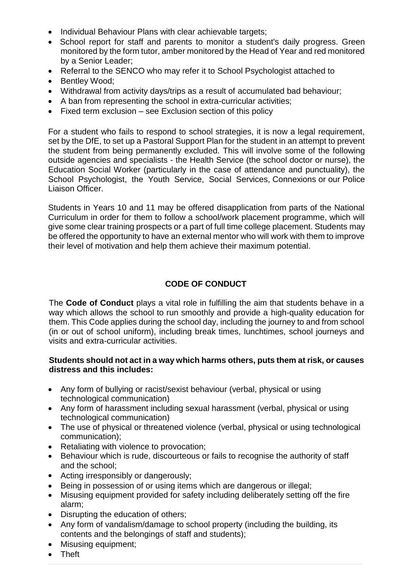- Individual Behaviour Plans with clear achievable targets;
- School report for staff and parents to monitor a student's daily progress. Green monitored by the form tutor, amber monitored by the Head of Year and red monitored by a Senior Leader;
- Referral to the SENCO who may refer it to School Psychologist attached to
- Bentley Wood;
- Withdrawal from activity days/trips as a result of accumulated bad behaviour;
- A ban from representing the school in extra-curricular activities;
- Fixed term exclusion see Exclusion section of this policy

For a student who fails to respond to school strategies, it is now a legal requirement, set by the DfE, to set up a Pastoral Support Plan for the student in an attempt to prevent the student from being permanently excluded. This will involve some of the following outside agencies and specialists - the Health Service (the school doctor or nurse), the Education Social Worker (particularly in the case of attendance and punctuality), the School Psychologist, the Youth Service, Social Services, Connexions or our Police Liaison Officer.

Students in Years 10 and 11 may be offered disapplication from parts of the National Curriculum in order for them to follow a school/work placement programme, which will give some clear training prospects or a part of full time college placement. Students may be offered the opportunity to have an external mentor who will work with them to improve their level of motivation and help them achieve their maximum potential.

# **CODE OF CONDUCT**

The **Code of Conduct** plays a vital role in fulfilling the aim that students behave in a way which allows the school to run smoothly and provide a high-quality education for them. This Code applies during the school day, including the journey to and from school (in or out of school uniform), including break times, lunchtimes, school journeys and visits and extra-curricular activities.

#### **Students should not act in a way which harms others, puts them at risk, or causes distress and this includes:**

- Any form of bullying or racist/sexist behaviour (verbal, physical or using technological communication)
- Any form of harassment including sexual harassment (verbal, physical or using technological communication)
- The use of physical or threatened violence (verbal, physical or using technological communication);
- Retaliating with violence to provocation;
- Behaviour which is rude, discourteous or fails to recognise the authority of staff and the school;
- Acting irresponsibly or dangerously;
- Being in possession of or using items which are dangerous or illegal;
- Misusing equipment provided for safety including deliberately setting off the fire alarm;
- Disrupting the education of others;
- Any form of vandalism/damage to school property (including the building, its contents and the belongings of staff and students);
- Misusing equipment;
- Theft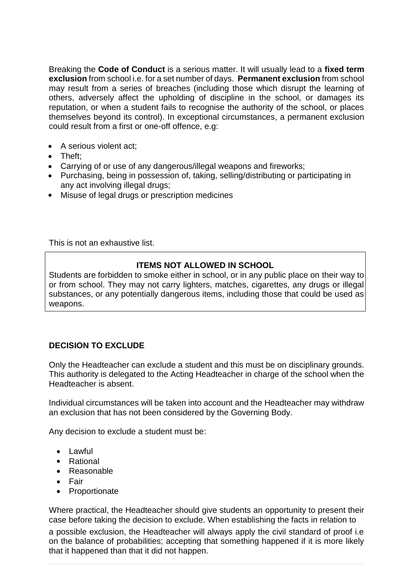Breaking the **Code of Conduct** is a serious matter. It will usually lead to a **fixed term exclusion** from school i.e. for a set number of days. **Permanent exclusion** from school may result from a series of breaches (including those which disrupt the learning of others, adversely affect the upholding of discipline in the school, or damages its reputation, or when a student fails to recognise the authority of the school, or places themselves beyond its control). In exceptional circumstances, a permanent exclusion could result from a first or one-off offence, e.g:

- A serious violent act;
- Theft;
- Carrying of or use of any dangerous/illegal weapons and fireworks;
- Purchasing, being in possession of, taking, selling/distributing or participating in any act involving illegal drugs;
- Misuse of legal drugs or prescription medicines

This is not an exhaustive list.

# **ITEMS NOT ALLOWED IN SCHOOL**

Students are forbidden to smoke either in school, or in any public place on their way to or from school. They may not carry lighters, matches, cigarettes, any drugs or illegal substances, or any potentially dangerous items, including those that could be used as weapons.

# **DECISION TO EXCLUDE**

Only the Headteacher can exclude a student and this must be on disciplinary grounds. This authority is delegated to the Acting Headteacher in charge of the school when the Headteacher is absent.

Individual circumstances will be taken into account and the Headteacher may withdraw an exclusion that has not been considered by the Governing Body.

Any decision to exclude a student must be:

- Lawful
- Rational
- Reasonable
- Fair
- Proportionate

Where practical, the Headteacher should give students an opportunity to present their case before taking the decision to exclude. When establishing the facts in relation to

a possible exclusion, the Headteacher will always apply the civil standard of proof i.e on the balance of probabilities; accepting that something happened if it is more likely that it happened than that it did not happen.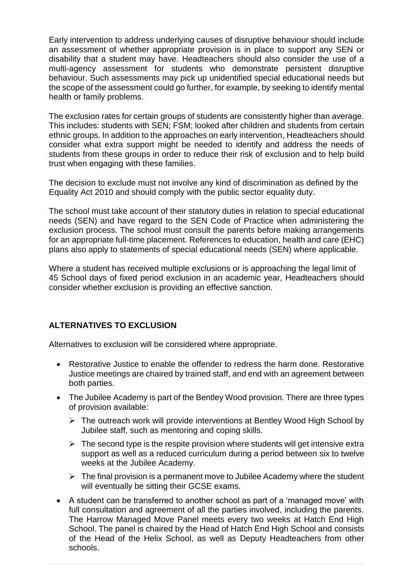Early intervention to address underlying causes of disruptive behaviour should include an assessment of whether appropriate provision is in place to support any SEN or disability that a student may have. Headteachers should also consider the use of a multi-agency assessment for students who demonstrate persistent disruptive behaviour. Such assessments may pick up unidentified special educational needs but the scope of the assessment could go further, for example, by seeking to identify mental health or family problems.

The exclusion rates for certain groups of students are consistently higher than average. This includes: students with SEN; FSM; looked after children and students from certain ethnic groups. In addition to the approaches on early intervention, Headteachers should consider what extra support might be needed to identify and address the needs of students from these groups in order to reduce their risk of exclusion and to help build trust when engaging with these families.

The decision to exclude must not involve any kind of discrimination as defined by the Equality Act 2010 and should comply with the public sector equality duty.

The school must take account of their statutory duties in relation to special educational needs (SEN) and have regard to the SEN Code of Practice when administering the exclusion process. The school must consult the parents before making arrangements for an appropriate full-time placement. References to education, health and care (EHC) plans also apply to statements of special educational needs (SEN) where applicable.

Where a student has received multiple exclusions or is approaching the legal limit of 45 School days of fixed period exclusion in an academic year, Headteachers should consider whether exclusion is providing an effective sanction.

# **ALTERNATIVES TO EXCLUSION**

Alternatives to exclusion will be considered where appropriate.

- Restorative Justice to enable the offender to redress the harm done. Restorative Justice meetings are chaired by trained staff, and end with an agreement between both parties.
- The Jubilee Academy is part of the Bentley Wood provision. There are three types of provision available:
	- ➢ The outreach work will provide interventions at Bentley Wood High School by Jubilee staff, such as mentoring and coping skills.
	- $\triangleright$  The second type is the respite provision where students will get intensive extra support as well as a reduced curriculum during a period between six to twelve weeks at the Jubilee Academy.
	- $\triangleright$  The final provision is a permanent move to Jubilee Academy where the student will eventually be sitting their GCSE exams.
- A student can be transferred to another school as part of a 'managed move' with full consultation and agreement of all the parties involved, including the parents. The Harrow Managed Move Panel meets every two weeks at Hatch End High School. The panel is chaired by the Head of Hatch End High School and consists of the Head of the Helix School, as well as Deputy Headteachers from other schools.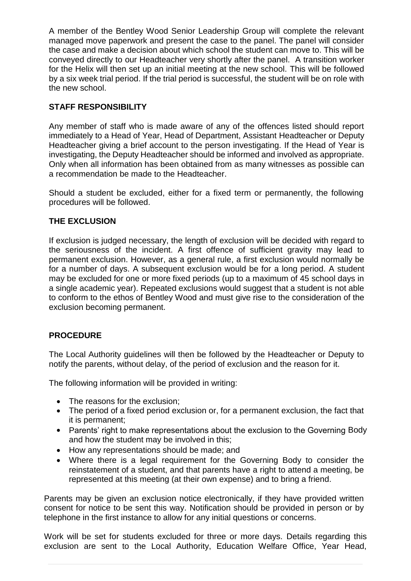A member of the Bentley Wood Senior Leadership Group will complete the relevant managed move paperwork and present the case to the panel. The panel will consider the case and make a decision about which school the student can move to. This will be conveyed directly to our Headteacher very shortly after the panel. A transition worker for the Helix will then set up an initial meeting at the new school. This will be followed by a six week trial period. If the trial period is successful, the student will be on role with the new school.

# **STAFF RESPONSIBILITY**

Any member of staff who is made aware of any of the offences listed should report immediately to a Head of Year, Head of Department, Assistant Headteacher or Deputy Headteacher giving a brief account to the person investigating. If the Head of Year is investigating, the Deputy Headteacher should be informed and involved as appropriate. Only when all information has been obtained from as many witnesses as possible can a recommendation be made to the Headteacher.

Should a student be excluded, either for a fixed term or permanently, the following procedures will be followed.

#### **THE EXCLUSION**

If exclusion is judged necessary, the length of exclusion will be decided with regard to the seriousness of the incident. A first offence of sufficient gravity may lead to permanent exclusion. However, as a general rule, a first exclusion would normally be for a number of days. A subsequent exclusion would be for a long period. A student may be excluded for one or more fixed periods (up to a maximum of 45 school days in a single academic year). Repeated exclusions would suggest that a student is not able to conform to the ethos of Bentley Wood and must give rise to the consideration of the exclusion becoming permanent.

# **PROCEDURE**

The Local Authority guidelines will then be followed by the Headteacher or Deputy to notify the parents, without delay, of the period of exclusion and the reason for it.

The following information will be provided in writing:

- The reasons for the exclusion;
- The period of a fixed period exclusion or, for a permanent exclusion, the fact that it is permanent;
- Parents' right to make representations about the exclusion to the Governing Body and how the student may be involved in this;
- How any representations should be made; and
- Where there is a legal requirement for the Governing Body to consider the reinstatement of a student, and that parents have a right to attend a meeting, be represented at this meeting (at their own expense) and to bring a friend.

Parents may be given an exclusion notice electronically, if they have provided written consent for notice to be sent this way. Notification should be provided in person or by telephone in the first instance to allow for any initial questions or concerns.

Work will be set for students excluded for three or more days. Details regarding this exclusion are sent to the Local Authority, Education Welfare Office, Year Head,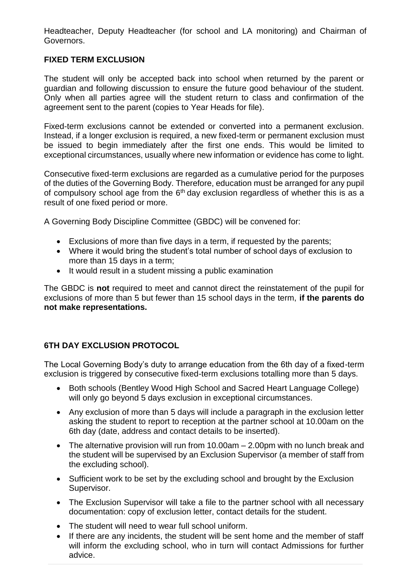Headteacher, Deputy Headteacher (for school and LA monitoring) and Chairman of Governors.

# **FIXED TERM EXCLUSION**

The student will only be accepted back into school when returned by the parent or guardian and following discussion to ensure the future good behaviour of the student. Only when all parties agree will the student return to class and confirmation of the agreement sent to the parent (copies to Year Heads for file).

Fixed-term exclusions cannot be extended or converted into a permanent exclusion. Instead, if a longer exclusion is required, a new fixed-term or permanent exclusion must be issued to begin immediately after the first one ends. This would be limited to exceptional circumstances, usually where new information or evidence has come to light.

Consecutive fixed-term exclusions are regarded as a cumulative period for the purposes of the duties of the Governing Body. Therefore, education must be arranged for any pupil of compulsory school age from the  $6<sup>th</sup>$  day exclusion regardless of whether this is as a result of one fixed period or more.

A Governing Body Discipline Committee (GBDC) will be convened for:

- Exclusions of more than five days in a term, if requested by the parents;
- Where it would bring the student's total number of school days of exclusion to more than 15 days in a term;
- It would result in a student missing a public examination

The GBDC is **not** required to meet and cannot direct the reinstatement of the pupil for exclusions of more than 5 but fewer than 15 school days in the term, **if the parents do not make representations.**

# **6TH DAY EXCLUSION PROTOCOL**

The Local Governing Body's duty to arrange education from the 6th day of a fixed-term exclusion is triggered by consecutive fixed-term exclusions totalling more than 5 days.

- Both schools (Bentley Wood High School and Sacred Heart Language College) will only go beyond 5 days exclusion in exceptional circumstances.
- Any exclusion of more than 5 days will include a paragraph in the exclusion letter asking the student to report to reception at the partner school at 10.00am on the 6th day (date, address and contact details to be inserted).
- The alternative provision will run from 10.00am 2.00pm with no lunch break and the student will be supervised by an Exclusion Supervisor (a member of staff from the excluding school).
- Sufficient work to be set by the excluding school and brought by the Exclusion Supervisor.
- The Exclusion Supervisor will take a file to the partner school with all necessary documentation: copy of exclusion letter, contact details for the student.
- The student will need to wear full school uniform.
- If there are any incidents, the student will be sent home and the member of staff will inform the excluding school, who in turn will contact Admissions for further advice.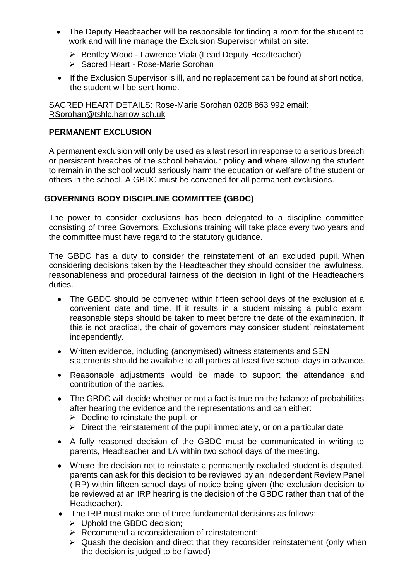- The Deputy Headteacher will be responsible for finding a room for the student to work and will line manage the Exclusion Supervisor whilst on site:
	- ➢ Bentley Wood Lawrence Viala (Lead Deputy Headteacher)
	- ➢ Sacred Heart Rose-Marie Sorohan
- If the Exclusion Supervisor is ill, and no replacement can be found at short notice, the student will be sent home.

SACRED HEART DETAILS: Rose-Marie Sorohan 0208 863 992 email: [RSorohan@tshlc.harrow.sch.uk](mailto:RSorohan@tshlc.harrow.sch.uk)

#### **PERMANENT EXCLUSION**

A permanent exclusion will only be used as a last resort in response to a serious breach or persistent breaches of the school behaviour policy **and** where allowing the student to remain in the school would seriously harm the education or welfare of the student or others in the school. A GBDC must be convened for all permanent exclusions.

#### **GOVERNING BODY DISCIPLINE COMMITTEE (GBDC)**

The power to consider exclusions has been delegated to a discipline committee consisting of three Governors. Exclusions training will take place every two years and the committee must have regard to the statutory guidance.

The GBDC has a duty to consider the reinstatement of an excluded pupil. When considering decisions taken by the Headteacher they should consider the lawfulness, reasonableness and procedural fairness of the decision in light of the Headteachers duties.

- The GBDC should be convened within fifteen school days of the exclusion at a convenient date and time. If it results in a student missing a public exam, reasonable steps should be taken to meet before the date of the examination. If this is not practical, the chair of governors may consider student' reinstatement independently.
- Written evidence, including (anonymised) witness statements and SEN statements should be available to all parties at least five school days in advance.
- Reasonable adjustments would be made to support the attendance and contribution of the parties.
- The GBDC will decide whether or not a fact is true on the balance of probabilities after hearing the evidence and the representations and can either:
	- $\triangleright$  Decline to reinstate the pupil, or
	- $\triangleright$  Direct the reinstatement of the pupil immediately, or on a particular date
- A fully reasoned decision of the GBDC must be communicated in writing to parents, Headteacher and LA within two school days of the meeting.
- Where the decision not to reinstate a permanently excluded student is disputed, parents can ask for this decision to be reviewed by an Independent Review Panel (IRP) within fifteen school days of notice being given (the exclusion decision to be reviewed at an IRP hearing is the decision of the GBDC rather than that of the Headteacher).
- The IRP must make one of three fundamental decisions as follows:
	- ➢ Uphold the GBDC decision;
	- ➢ Recommend a reconsideration of reinstatement;
	- ➢ Quash the decision and direct that they reconsider reinstatement (only when the decision is judged to be flawed)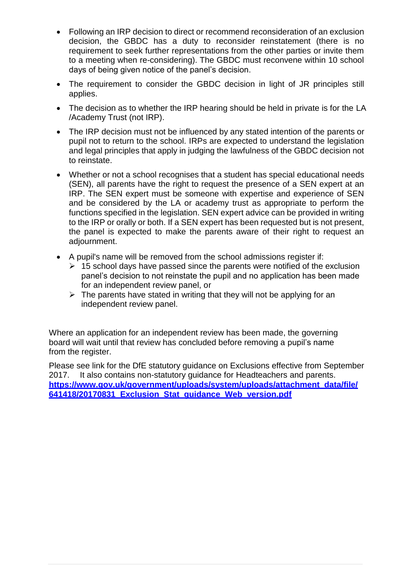- Following an IRP decision to direct or recommend reconsideration of an exclusion decision, the GBDC has a duty to reconsider reinstatement (there is no requirement to seek further representations from the other parties or invite them to a meeting when re-considering). The GBDC must reconvene within 10 school days of being given notice of the panel's decision.
- The requirement to consider the GBDC decision in light of JR principles still applies.
- The decision as to whether the IRP hearing should be held in private is for the LA /Academy Trust (not IRP).
- The IRP decision must not be influenced by any stated intention of the parents or pupil not to return to the school. IRPs are expected to understand the legislation and legal principles that apply in judging the lawfulness of the GBDC decision not to reinstate.
- Whether or not a school recognises that a student has special educational needs (SEN), all parents have the right to request the presence of a SEN expert at an IRP. The SEN expert must be someone with expertise and experience of SEN and be considered by the LA or academy trust as appropriate to perform the functions specified in the legislation. SEN expert advice can be provided in writing to the IRP or orally or both. If a SEN expert has been requested but is not present, the panel is expected to make the parents aware of their right to request an adjournment.
- A pupil's name will be removed from the school admissions register if:
	- $\geq 15$  school days have passed since the parents were notified of the exclusion panel's decision to not reinstate the pupil and no application has been made for an independent review panel, or
	- $\triangleright$  The parents have stated in writing that they will not be applying for an independent review panel.

Where an application for an independent review has been made, the governing board will wait until that review has concluded before removing a pupil's name from the register.

Please see link for the DfE statutory guidance on Exclusions effective from September 2017. It also contains non-statutory guidance for Headteachers and parents. **[https://www.gov.uk/government/uploads/system/uploads/attachment\\_data/file/](https://www.gov.uk/government/uploads/system/uploads/attachment_data/file/641418/20170831_Exclusion_Stat_guidance_Web_version.pdf) [641418/20170831\\_Exclusion\\_Stat\\_guidance\\_Web\\_version.pdf](https://www.gov.uk/government/uploads/system/uploads/attachment_data/file/641418/20170831_Exclusion_Stat_guidance_Web_version.pdf)**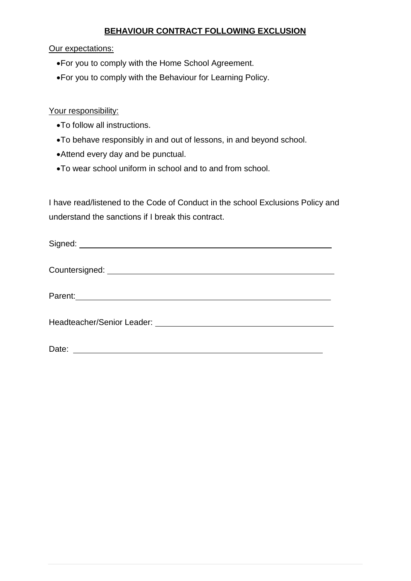# **BEHAVIOUR CONTRACT FOLLOWING EXCLUSION**

Our expectations:

- •For you to comply with the Home School Agreement.
- •For you to comply with the Behaviour for Learning Policy.

# Your responsibility:

- •To follow all instructions.
- •To behave responsibly in and out of lessons, in and beyond school.
- •Attend every day and be punctual.
- •To wear school uniform in school and to and from school.

I have read/listened to the Code of Conduct in the school Exclusions Policy and understand the sanctions if I break this contract.

| Parent: 2008 Contract Contract Contract Contract Contract Contract Contract Contract Contract Contract Contract Contract Contract Contract Contract Contract Contract Contract Contract Contract Contract Contract Contract Co |
|--------------------------------------------------------------------------------------------------------------------------------------------------------------------------------------------------------------------------------|
|                                                                                                                                                                                                                                |
| Date:                                                                                                                                                                                                                          |